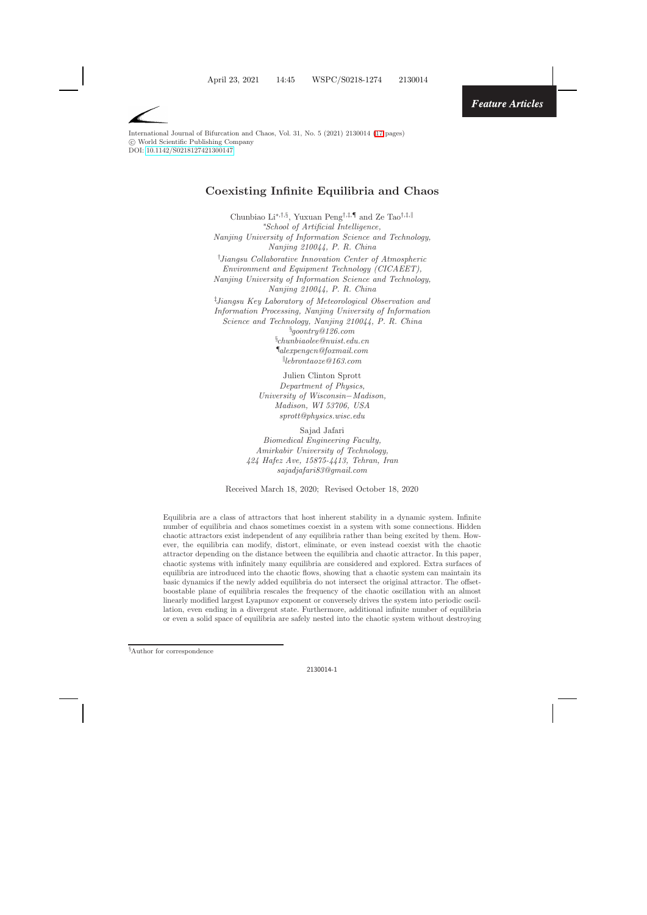

International Journal of Bifurcation and Chaos, Vol. 31, No. 5 (2021) 2130014 [\(17](#page-15-0) pages) -c World Scientific Publishing Company DOI: [10.1142/S0218127421300147](https://dx.doi.org/10.1142/S0218127421300147)

# **Coexisting Infinite Equilibria and Chaos**

Chunbiao Li∗*,*†*,*§, Yuxuan Peng†*,*‡*,*¶ and Ze Tao†*,*‡*,* ∗ *School of Artificial Intelligence, Nanjing University of Information Science and Technology, Nanjing 210044, P. R. China* † *Jiangsu Collaborative Innovation Center of Atmospheric Environment and Equipment Technology (CICAEET), Nanjing University of Information Science and Technology, Nanjing 210044, P. R. China* ‡ *Jiangsu Key Laboratory of Meteorological Observation and Information Processing, Nanjing University of Information Science and Technology, Nanjing 210044, P. R. China* § *goontry@126.com*

§ *chunbiaolee@nuist.edu.cn* ¶ *alexpengcn@foxmail.com lebrontaoze@163.com*

Julien Clinton Sprott *Department of Physics, University of Wisconsin*−*Madison, Madison, WI 53706, USA sprott@physics.wisc.edu*

Sajad Jafari *Biomedical Engineering Faculty, Amirkabir University of Technology, 424 Hafez Ave, 15875-4413, Tehran, Iran sajadjafari83@gmail.com*

Received March 18, 2020; Revised October 18, 2020

Equilibria are a class of attractors that host inherent stability in a dynamic system. Infinite number of equilibria and chaos sometimes coexist in a system with some connections. Hidden chaotic attractors exist independent of any equilibria rather than being excited by them. However, the equilibria can modify, distort, eliminate, or even instead coexist with the chaotic attractor depending on the distance between the equilibria and chaotic attractor. In this paper, chaotic systems with infinitely many equilibria are considered and explored. Extra surfaces of equilibria are introduced into the chaotic flows, showing that a chaotic system can maintain its basic dynamics if the newly added equilibria do not intersect the original attractor. The offsetboostable plane of equilibria rescales the frequency of the chaotic oscillation with an almost linearly modified largest Lyapunov exponent or conversely drives the system into periodic oscillation, even ending in a divergent state. Furthermore, additional infinite number of equilibria or even a solid space of equilibria are safely nested into the chaotic system without destroying

*<sup>§</sup>* Author for correspondence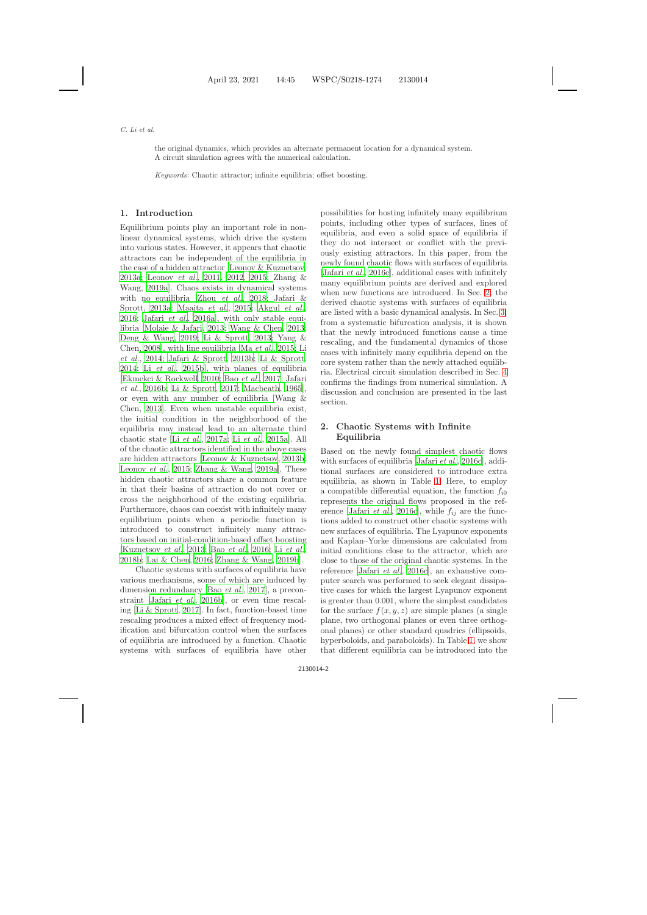the original dynamics, which provides an alternate permanent location for a dynamical system. A circuit simulation agrees with the numerical calculation.

*Keywords*: Chaotic attractor; infinite equilibria; offset boosting.

### **1. Introduction**

Equilibrium points play an important role in nonlinear dynamical systems, which drive the system into various states. However, it appears that chaotic attractors can be independent of the equilibria in the case of a hidden attractor [\[Leonov & Kuznetsov](#page-15-1), [2013a](#page-15-1)[;](#page-16-0) [Leonov](#page-15-2) *et al.*, [2011](#page-15-2), [2012](#page-15-3), [2015](#page-15-4); Zhang & Wang, [2019a\]](#page-16-0). Chaos exists in dynamical systems with [no equilibria \[Zhou](#page-15-5) *[et al.](#page-16-1)*, [2018;](#page-16-1) Jafari & Sprott, [2013a](#page-15-5); [Maaita](#page-16-2) *et al.*, [2015](#page-16-2); [Akgul](#page-15-6) *et al.*, [2016;](#page-15-6) [Jafari](#page-15-7) *et al.*, [2016a\]](#page-15-7), with only stable equilibria [\[Molaie & Jafari](#page-16-3), [2013;](#page-16-3) [Wang & Chen](#page-16-4), [2013](#page-16-4); [Deng & Wang](#page-15-8), [2019;](#page-15-8) [Li & Sprott](#page-15-9), [2013](#page-15-9); Yang & Chen, [2008](#page-16-5)], with line equilibria [Ma *[et al.](#page-16-6)*, [2015](#page-16-6); Li *et al.*, [2014](#page-15-10); [Jafari & Sprott](#page-15-11), [2013b](#page-15-11); [Li & Sprott](#page-15-12), [2014;](#page-15-12) Li *[et al.](#page-15-13)*, [2015b\]](#page-15-13), with planes of equilibria [\[Ekmekci & Rockwell](#page-15-14), [2010](#page-15-14); Bao *[et al.](#page-15-15)*, [2017;](#page-15-15) Jafari *et al.*, [2016b](#page-15-16); [Li & Sprott](#page-15-17), [2017](#page-15-17); [Macbeath](#page-16-7), [1965](#page-16-7)], or e[ven with any number of equilibria \[](#page-16-4)Wang & Chen, [2013\]](#page-16-4). Even when unstable equilibria exist, the initial condition in the neighborhood of the equilibria may instead lead to an alternate third chaotic state [Li *[et al.](#page-15-18)*, [2017a;](#page-15-18) Li *[et al.](#page-15-19)*, [2015a\]](#page-15-19). All of the chaotic attractors identified in the above cases are hidden attractors [\[Leonov & Kuznetsov](#page-15-20), [2013b](#page-15-20); [Leonov](#page-15-4) *et al.*, [2015](#page-15-4); [Zhang & Wang](#page-16-0), [2019a](#page-16-0)]. These hidden chaotic attractors share a common feature in that their basins of attraction do not cover or cross the neighborhood of the existing equilibria. Furthermore, chaos can coexist with infinitely many equilibrium points when a periodic function is introduced to construct infinitely many attractors based on initial-condition-based offset boosting [\[Kuznetsov](#page-15-21) *et al.*, [2013;](#page-15-21) Bao *[et al.](#page-15-22)*, [2016](#page-15-22); Li *[et al.](#page-16-8)*, [2018b](#page-16-8); [Lai & Chen](#page-15-23), [2016](#page-15-23); [Zhang & Wang](#page-16-9), [2019b](#page-16-9)].

Chaotic systems with surfaces of equilibria have various mechanisms, some of which are induced by dimension redundancy [Bao *[et al.](#page-15-15)*, [2017](#page-15-15)], a preconstraint [\[Jafari](#page-15-16) *et al.*, [2016b\]](#page-15-16), or even time rescaling [\[Li & Sprott](#page-15-17), [2017](#page-15-17)]. In fact, function-based time rescaling produces a mixed effect of frequency modification and bifurcation control when the surfaces of equilibria are introduced by a function. Chaotic systems with surfaces of equilibria have other possibilities for hosting infinitely many equilibrium points, including other types of surfaces, lines of equilibria, and even a solid space of equilibria if they do not intersect or conflict with the previously existing attractors. In this paper, from the newly found chaotic flows with surfaces of equilibria [\[Jafari](#page-15-24) *et al.*, [2016c\]](#page-15-24), additional cases with infinitely many equilibrium points are derived and explored when new functions are introduced. In Sec. [2,](#page-1-0) the derived chaotic systems with surfaces of equilibria are listed with a basic dynamical analysis. In Sec. [3,](#page-9-0) from a systematic bifurcation analysis, it is shown that the newly introduced functions cause a time rescaling, and the fundamental dynamics of those cases with infinitely many equilibria depend on the core system rather than the newly attached equilibria. Electrical circuit simulation described in Sec. [4](#page-12-0) confirms the findings from numerical simulation. A discussion and conclusion are presented in the last section.

# <span id="page-1-0"></span>**2. Chaotic Systems with Infinite Equilibria**

Based on the newly found simplest chaotic flows with surfaces of equilibria [\[Jafari](#page-15-24) *et al.*, [2016c](#page-15-24)], additional surfaces are considered to introduce extra equilibria, as shown in Table [1.](#page-2-0) Here, to employ a compatible differential equation, the function f*i*<sup>0</sup> represents the original flows proposed in the ref-erence [\[Jafari](#page-15-24) *et al.*, [2016c](#page-15-24)], while  $f_{ij}$  are the functions added to construct other chaotic systems with new surfaces of equilibria. The Lyapunov exponents and Kaplan–Yorke dimensions are calculated from initial conditions close to the attractor, which are close to those of the original chaotic systems. In the reference [\[Jafari](#page-15-24) *et al.*, [2016c\]](#page-15-24), an exhaustive computer search was performed to seek elegant dissipative cases for which the largest Lyapunov exponent is greater than 0.001, where the simplest candidates for the surface  $f(x, y, z)$  are simple planes (a single plane, two orthogonal planes or even three orthogonal planes) or other standard quadrics (ellipsoids, hyperboloids, and paraboloids). In Table [1,](#page-2-0) we show that different equilibria can be introduced into the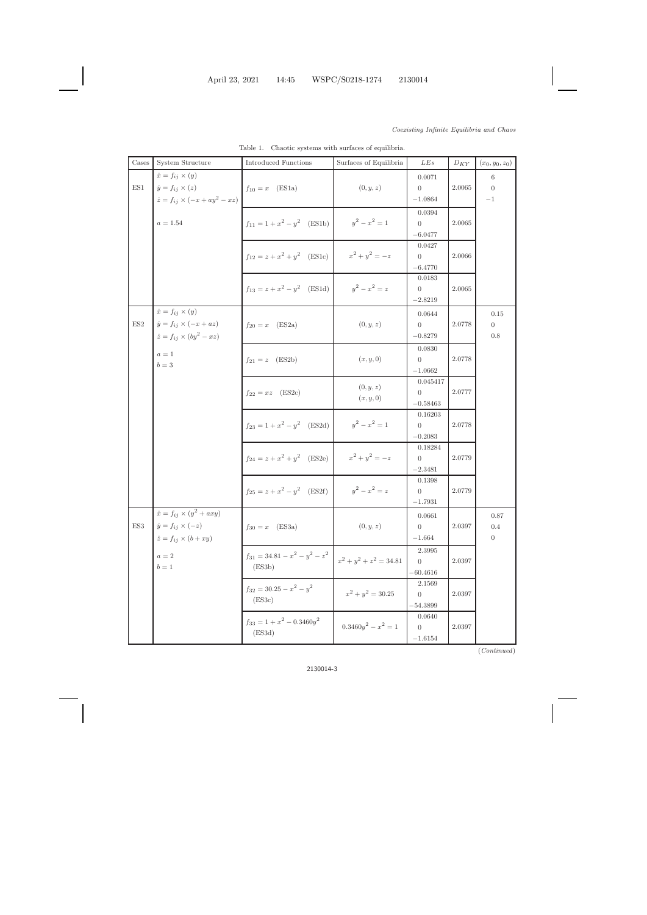| $\dot{x} = f_{ij} \times (y)$<br>0.0071<br>6<br>$\dot{y} = f_{ij} \times (z)$<br>$\operatorname{ES}1$<br>(0, y, z)<br>$f_{10} = x$ (ES1a)<br>$2.0065\,$<br>$\overline{0}$<br>$\overline{0}$<br>$\dot{z}=f_{ij}\times(-x+ay^2-xz)$<br>$-1.0864$<br>$-1\,$<br>0.0394<br>$y^2 - x^2 = 1$<br>$f_{11} = 1 + x^2 - y^2$ (ES1b)<br>$a=1.54\,$<br>2.0065<br>$\overline{0}$<br>$-6.0477$<br>0.0427<br>$x^2 + y^2 = -z$<br>$f_{12} = z + x^2 + y^2$ (ES1c)<br>2.0066<br>$\overline{0}$<br>$-6.4770$<br>0.0183<br>$y^2 - x^2 = z$<br>$f_{13} = z + x^2 - y^2$ (ES1d)<br>2.0065<br>$\overline{0}$<br>$-2.8219$<br>$\dot{x} = f_{ij} \times (y)$<br>0.0644<br>0.15<br>$\dot{y} = f_{ij} \times (-x + az)$<br>$\operatorname{ES2}$<br>$f_{20} = x$ (ES2a)<br>(0, y, z)<br>2.0778<br>$\overline{0}$<br>$\overline{0}$<br>$\dot{z} = f_{ij} \times (by^2 - xz)$<br>$-0.8279$<br>$0.8\,$<br>0.0830<br>$a=1$<br>(x, y, 0)<br>2.0778<br>$f_{21} = z$ (ES2b)<br>$\overline{0}$<br>$b=3\,$<br>$-1.0662$<br>0.045417<br>(0, y, z)<br>2.0777<br>$f_{22} = xz$ (ES2c)<br>$\overline{0}$<br>(x, y, 0)<br>$-0.58463$ | Cases | System Structure | <b>Introduced Functions</b> | Surfaces of Equilibria | LEs     | ${\cal D}_{KY}$ | $(x_0, y_0, z_0)$ |
|--------------------------------------------------------------------------------------------------------------------------------------------------------------------------------------------------------------------------------------------------------------------------------------------------------------------------------------------------------------------------------------------------------------------------------------------------------------------------------------------------------------------------------------------------------------------------------------------------------------------------------------------------------------------------------------------------------------------------------------------------------------------------------------------------------------------------------------------------------------------------------------------------------------------------------------------------------------------------------------------------------------------------------------------------------------------------------------------|-------|------------------|-----------------------------|------------------------|---------|-----------------|-------------------|
|                                                                                                                                                                                                                                                                                                                                                                                                                                                                                                                                                                                                                                                                                                                                                                                                                                                                                                                                                                                                                                                                                            |       |                  |                             |                        |         |                 |                   |
|                                                                                                                                                                                                                                                                                                                                                                                                                                                                                                                                                                                                                                                                                                                                                                                                                                                                                                                                                                                                                                                                                            |       |                  |                             |                        |         |                 |                   |
|                                                                                                                                                                                                                                                                                                                                                                                                                                                                                                                                                                                                                                                                                                                                                                                                                                                                                                                                                                                                                                                                                            |       |                  |                             |                        |         |                 |                   |
|                                                                                                                                                                                                                                                                                                                                                                                                                                                                                                                                                                                                                                                                                                                                                                                                                                                                                                                                                                                                                                                                                            |       |                  |                             |                        |         |                 |                   |
|                                                                                                                                                                                                                                                                                                                                                                                                                                                                                                                                                                                                                                                                                                                                                                                                                                                                                                                                                                                                                                                                                            |       |                  |                             |                        |         |                 |                   |
|                                                                                                                                                                                                                                                                                                                                                                                                                                                                                                                                                                                                                                                                                                                                                                                                                                                                                                                                                                                                                                                                                            |       |                  |                             |                        |         |                 |                   |
|                                                                                                                                                                                                                                                                                                                                                                                                                                                                                                                                                                                                                                                                                                                                                                                                                                                                                                                                                                                                                                                                                            |       |                  |                             |                        |         |                 |                   |
|                                                                                                                                                                                                                                                                                                                                                                                                                                                                                                                                                                                                                                                                                                                                                                                                                                                                                                                                                                                                                                                                                            |       |                  |                             |                        |         |                 |                   |
|                                                                                                                                                                                                                                                                                                                                                                                                                                                                                                                                                                                                                                                                                                                                                                                                                                                                                                                                                                                                                                                                                            |       |                  |                             |                        |         |                 |                   |
|                                                                                                                                                                                                                                                                                                                                                                                                                                                                                                                                                                                                                                                                                                                                                                                                                                                                                                                                                                                                                                                                                            |       |                  |                             |                        |         |                 |                   |
|                                                                                                                                                                                                                                                                                                                                                                                                                                                                                                                                                                                                                                                                                                                                                                                                                                                                                                                                                                                                                                                                                            |       |                  |                             |                        |         |                 |                   |
|                                                                                                                                                                                                                                                                                                                                                                                                                                                                                                                                                                                                                                                                                                                                                                                                                                                                                                                                                                                                                                                                                            |       |                  |                             |                        |         |                 |                   |
|                                                                                                                                                                                                                                                                                                                                                                                                                                                                                                                                                                                                                                                                                                                                                                                                                                                                                                                                                                                                                                                                                            |       |                  |                             |                        |         |                 |                   |
|                                                                                                                                                                                                                                                                                                                                                                                                                                                                                                                                                                                                                                                                                                                                                                                                                                                                                                                                                                                                                                                                                            |       |                  |                             |                        |         |                 |                   |
|                                                                                                                                                                                                                                                                                                                                                                                                                                                                                                                                                                                                                                                                                                                                                                                                                                                                                                                                                                                                                                                                                            |       |                  |                             |                        |         |                 |                   |
|                                                                                                                                                                                                                                                                                                                                                                                                                                                                                                                                                                                                                                                                                                                                                                                                                                                                                                                                                                                                                                                                                            |       |                  |                             |                        |         |                 |                   |
|                                                                                                                                                                                                                                                                                                                                                                                                                                                                                                                                                                                                                                                                                                                                                                                                                                                                                                                                                                                                                                                                                            |       |                  |                             |                        |         |                 |                   |
|                                                                                                                                                                                                                                                                                                                                                                                                                                                                                                                                                                                                                                                                                                                                                                                                                                                                                                                                                                                                                                                                                            |       |                  |                             |                        |         |                 |                   |
|                                                                                                                                                                                                                                                                                                                                                                                                                                                                                                                                                                                                                                                                                                                                                                                                                                                                                                                                                                                                                                                                                            |       |                  |                             |                        |         |                 |                   |
|                                                                                                                                                                                                                                                                                                                                                                                                                                                                                                                                                                                                                                                                                                                                                                                                                                                                                                                                                                                                                                                                                            |       |                  |                             |                        |         |                 |                   |
|                                                                                                                                                                                                                                                                                                                                                                                                                                                                                                                                                                                                                                                                                                                                                                                                                                                                                                                                                                                                                                                                                            |       |                  |                             |                        |         |                 |                   |
|                                                                                                                                                                                                                                                                                                                                                                                                                                                                                                                                                                                                                                                                                                                                                                                                                                                                                                                                                                                                                                                                                            |       |                  |                             |                        | 0.16203 |                 |                   |
| $y^2 - x^2 = 1$<br>$f_{23} = 1 + x^2 - y^2$ (ES2d)<br>2.0778<br>$\overline{0}$                                                                                                                                                                                                                                                                                                                                                                                                                                                                                                                                                                                                                                                                                                                                                                                                                                                                                                                                                                                                             |       |                  |                             |                        |         |                 |                   |
| $-0.2083$                                                                                                                                                                                                                                                                                                                                                                                                                                                                                                                                                                                                                                                                                                                                                                                                                                                                                                                                                                                                                                                                                  |       |                  |                             |                        |         |                 |                   |
| 0.18284<br>$x^2 + y^2 = -z$<br>$f_{24} = z + x^2 + y^2$ (ES2e)<br>2.0779                                                                                                                                                                                                                                                                                                                                                                                                                                                                                                                                                                                                                                                                                                                                                                                                                                                                                                                                                                                                                   |       |                  |                             |                        |         |                 |                   |
| $\overline{0}$<br>$-2.3481$                                                                                                                                                                                                                                                                                                                                                                                                                                                                                                                                                                                                                                                                                                                                                                                                                                                                                                                                                                                                                                                                |       |                  |                             |                        |         |                 |                   |
| 0.1398                                                                                                                                                                                                                                                                                                                                                                                                                                                                                                                                                                                                                                                                                                                                                                                                                                                                                                                                                                                                                                                                                     |       |                  |                             |                        |         |                 |                   |
| $y^2 - x^2 = z$<br>$f_{25} = z + x^2 - y^2$ (ES2f)<br>2.0779<br>$\overline{0}$                                                                                                                                                                                                                                                                                                                                                                                                                                                                                                                                                                                                                                                                                                                                                                                                                                                                                                                                                                                                             |       |                  |                             |                        |         |                 |                   |
| $-1.7931$                                                                                                                                                                                                                                                                                                                                                                                                                                                                                                                                                                                                                                                                                                                                                                                                                                                                                                                                                                                                                                                                                  |       |                  |                             |                        |         |                 |                   |
| $\dot{x} = f_{ij} \times (y^2 + axy)$<br>0.0661<br>0.87                                                                                                                                                                                                                                                                                                                                                                                                                                                                                                                                                                                                                                                                                                                                                                                                                                                                                                                                                                                                                                    |       |                  |                             |                        |         |                 |                   |
| ES3<br>$\dot{y} = f_{ij} \times (-z)$<br>(0, y, z)<br>$f_{30} = x$ (ES3a)<br>2.0397<br>$0.4\,$<br>$\overline{0}$                                                                                                                                                                                                                                                                                                                                                                                                                                                                                                                                                                                                                                                                                                                                                                                                                                                                                                                                                                           |       |                  |                             |                        |         |                 |                   |
| $\dot{z} = f_{ij} \times (b + xy)$<br>$\overline{0}$<br>$-1.664$                                                                                                                                                                                                                                                                                                                                                                                                                                                                                                                                                                                                                                                                                                                                                                                                                                                                                                                                                                                                                           |       |                  |                             |                        |         |                 |                   |
| 2.3995                                                                                                                                                                                                                                                                                                                                                                                                                                                                                                                                                                                                                                                                                                                                                                                                                                                                                                                                                                                                                                                                                     |       |                  |                             |                        |         |                 |                   |
| $f_{31} = 34.81 - x^2 - y^2 - z^2$<br>$a=2$<br>$x^2 + y^2 + z^2 = 34.81$<br>2.0397<br>$\overline{0}$                                                                                                                                                                                                                                                                                                                                                                                                                                                                                                                                                                                                                                                                                                                                                                                                                                                                                                                                                                                       |       |                  |                             |                        |         |                 |                   |
| $b=1$<br>(ES3b)<br>$-60.4616$                                                                                                                                                                                                                                                                                                                                                                                                                                                                                                                                                                                                                                                                                                                                                                                                                                                                                                                                                                                                                                                              |       |                  |                             |                        |         |                 |                   |
| 2.1569                                                                                                                                                                                                                                                                                                                                                                                                                                                                                                                                                                                                                                                                                                                                                                                                                                                                                                                                                                                                                                                                                     |       |                  |                             |                        |         |                 |                   |
| $f_{32} = 30.25 - x^2 - y^2$<br>$x^2 + y^2 = 30.25$<br>2.0397<br>$\overline{0}$                                                                                                                                                                                                                                                                                                                                                                                                                                                                                                                                                                                                                                                                                                                                                                                                                                                                                                                                                                                                            |       |                  |                             |                        |         |                 |                   |
| (ES3c)<br>$-54.3899$                                                                                                                                                                                                                                                                                                                                                                                                                                                                                                                                                                                                                                                                                                                                                                                                                                                                                                                                                                                                                                                                       |       |                  |                             |                        |         |                 |                   |
| 0.0640                                                                                                                                                                                                                                                                                                                                                                                                                                                                                                                                                                                                                                                                                                                                                                                                                                                                                                                                                                                                                                                                                     |       |                  |                             |                        |         |                 |                   |
| $f_{33} = 1 + x^2 - 0.3460y^2$<br>$0.3460y^{2} - x^{2} = 1$<br>2.0397<br>$\overline{0}$                                                                                                                                                                                                                                                                                                                                                                                                                                                                                                                                                                                                                                                                                                                                                                                                                                                                                                                                                                                                    |       |                  |                             |                        |         |                 |                   |
| (ES3d)<br>$-1.6154$                                                                                                                                                                                                                                                                                                                                                                                                                                                                                                                                                                                                                                                                                                                                                                                                                                                                                                                                                                                                                                                                        |       |                  |                             |                        |         |                 |                   |

<span id="page-2-1"></span><span id="page-2-0"></span>Table 1. Chaotic systems with surfaces of equilibria.

(*Continued*)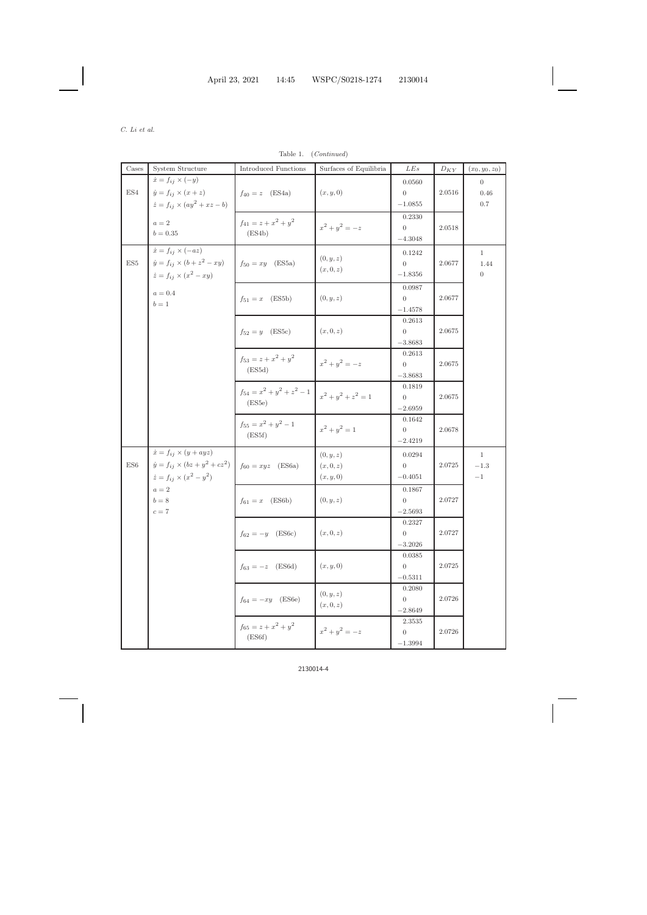Table 1. (*Continued*)

| $\rm{Cases}$         | System Structure                            | <b>Introduced Functions</b>              | Surfaces of Equilibria | LEs                      | ${\cal D}_{KY}$ | $(x_0, y_0, z_0)$ |
|----------------------|---------------------------------------------|------------------------------------------|------------------------|--------------------------|-----------------|-------------------|
|                      | $\dot{x} = f_{ij} \times (-y)$              |                                          |                        | 0.0560                   |                 | $\overline{0}$    |
| $\operatorname{ES4}$ | $\dot{y} = f_{ij} \times (x + z)$           | $f_{40} = z$ (ES4a)                      | (x, y, 0)              | $\overline{0}$           | $2.0516\,$      | 0.46              |
|                      | $\dot{z} = f_{ij} \times (ay^2 + xz - b)$   |                                          |                        | $-1.0855$                |                 | $0.7\,$           |
|                      |                                             |                                          |                        | 0.2330                   |                 |                   |
|                      | $a=2\,$                                     | $f_{41} = z + x^2 + y^2$                 | $x^2 + y^2 = -z$       | $\overline{0}$           | 2.0518          |                   |
|                      | $b = 0.35$                                  | (ES4b)                                   |                        | $-4.3048$                |                 |                   |
|                      | $\dot{x} = f_{ij} \times (-az)$             |                                          |                        | 0.1242                   |                 | $\mathbf{1}$      |
| $\operatorname{ES5}$ | $\dot{y} = f_{ij} \times (b + z^2 - xy)$    | $f_{50} = xy$ (ES5a)                     | (0, y, z)<br>(x,0,z)   | $\overline{0}$           | 2.0677          | 1.44              |
|                      | $\dot{z} = f_{ij} \times (x^2 - xy)$        |                                          |                        | $-1.8356$                |                 | $\overline{0}$    |
|                      |                                             |                                          |                        |                          |                 |                   |
|                      | $a=0.4$                                     | $f_{51} = x \quad (ES5b)$                | (0, y, z)              | 0.0987<br>$\overline{0}$ | 2.0677          |                   |
|                      | $b=1\,$                                     |                                          |                        | $-1.4578$                |                 |                   |
|                      |                                             |                                          |                        | 0.2613                   |                 |                   |
|                      |                                             | $f_{52} = y$ (ES5c)                      | (x,0,z)                | $\overline{0}$           | 2.0675          |                   |
|                      |                                             |                                          |                        | $-3.8683$                |                 |                   |
|                      |                                             |                                          |                        | 0.2613                   |                 |                   |
|                      |                                             | $f_{53} = z + x^2 + y^2$                 | $x^2 + y^2 = -z$       | $\overline{0}$           | 2.0675          |                   |
|                      |                                             | (ES5d)                                   |                        | $-3.8683$                |                 |                   |
|                      |                                             | $f_{54} = x^2 + y^2 + z^2 - 1$<br>(ES5e) | $x^2 + y^2 + z^2 = 1$  | 0.1819                   |                 |                   |
|                      |                                             |                                          |                        | $\overline{0}$           | 2.0675          |                   |
|                      |                                             |                                          |                        | $-2.6959$                |                 |                   |
|                      |                                             | $f_{55} = x^2 + y^2 - 1$<br>(ES5f)       |                        | 0.1642                   |                 |                   |
|                      |                                             |                                          | $x^2 + y^2 = 1$        | $\overline{0}$           | 2.0678          |                   |
|                      |                                             |                                          |                        | $-2.4219$                |                 |                   |
|                      | $\dot{x} = f_{ij} \times (y + ayz)$         |                                          | (0, y, z)              | 0.0294                   |                 | $\mathbf{1}$      |
| $\operatorname{ES6}$ | $\dot{y} = f_{ij} \times (bz + y^2 + cz^2)$ | $f_{60} = xyz$ (ES6a)                    | (x,0,z)                | $\overline{0}$           | $2.0725\,$      | $-1.3$            |
|                      | $\dot{z} = f_{ij} \times (x^2 - y^2)$       |                                          | (x, y, 0)              | $-0.4051$                |                 | $-1$              |
|                      | $a=2\,$                                     |                                          |                        | 0.1867                   |                 |                   |
|                      | $b=8\,$                                     | $f_{61} = x \quad (ES6b)$                | (0, y, z)              | $\boldsymbol{0}$         | $2.0727\,$      |                   |
|                      | $c=7$                                       |                                          |                        | $-2.5693$                |                 |                   |
|                      |                                             |                                          |                        | 0.2327                   |                 |                   |
|                      |                                             | $f_{62} = -y$ (ES6c)                     | (x,0,z)                | $\overline{0}$           | 2.0727          |                   |
|                      |                                             |                                          |                        | $-3.2026$                |                 |                   |
|                      |                                             |                                          |                        | 0.0385                   |                 |                   |
|                      |                                             | $f_{63} = -z$ (ES6d)                     | (x, y, 0)              | $\overline{0}$           | 2.0725          |                   |
|                      |                                             |                                          |                        | $-0.5311$                |                 |                   |
|                      |                                             |                                          |                        | 0.2080                   |                 |                   |
|                      |                                             | $f_{64} = -xy$ (ES6e)                    | (0, y, z)              | $\overline{0}$           | $2.0726\,$      |                   |
|                      |                                             |                                          | (x,0,z)                | $-2.8649$                |                 |                   |
|                      |                                             | $f_{65} = z + x^2 + y^2$<br>(ES6f)       |                        | 2.3535                   |                 |                   |
|                      |                                             |                                          | $x^2 + y^2 = -z$       | $\overline{0}$           | 2.0726          |                   |
|                      |                                             |                                          |                        | $-1.3994$                |                 |                   |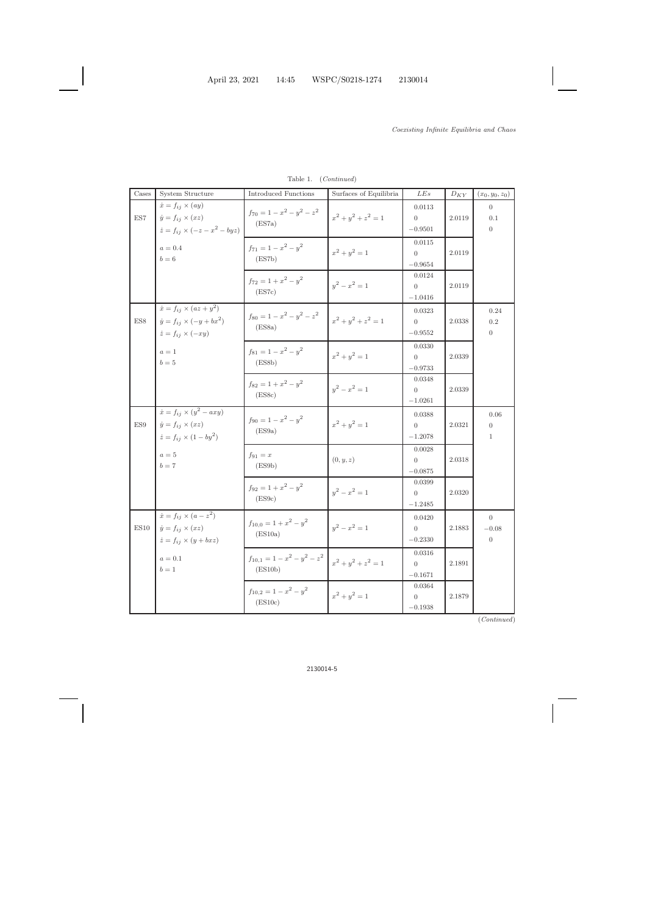| Cases                | System Structure                                                                                                  | <b>Introduced Functions</b>                 | Surfaces of Equilibria | LEs                                     | ${\cal D}_{KY}$ | $(x_0, y_0, z_0)$                         |
|----------------------|-------------------------------------------------------------------------------------------------------------------|---------------------------------------------|------------------------|-----------------------------------------|-----------------|-------------------------------------------|
| $\operatorname{ES}7$ | $\dot{x} = f_{ij} \times (ay)$<br>$\dot{y} = f_{ij} \times (xz)$<br>$\dot{z} = f_{ij} \times (-z - x^2 - byz)$    | $f_{70} = 1 - x^2 - y^2 - z^2$<br>(ES7a)    | $x^2 + y^2 + z^2 = 1$  | 0.0113<br>$\overline{0}$<br>$-0.9501$   | 2.0119          | $\overline{0}$<br>0.1<br>$\overline{0}$   |
|                      | $a=0.4$<br>$b=6$                                                                                                  | $f_{71} = 1 - x^2 - y^2$<br>(ES7b)          | $x^2 + y^2 = 1$        | 0.0115<br>$\overline{0}$<br>$-0.9654$   | 2.0119          |                                           |
|                      |                                                                                                                   | $f_{72} = 1 + x^2 - y^2$<br>(ES7c)          | $y^2 - x^2 = 1$        | 0.0124<br>$\overline{0}$<br>$-1.0416$   | 2.0119          |                                           |
| $_{\rm ESS}$         | $\dot{x} = f_{ij} \times (az + y^2)$<br>$\dot{y} = f_{ij} \times (-y + bx^2)$<br>$\dot{z} = f_{ij} \times (-xy)$  | $f_{80} = 1 - x^2 - y^2 - z^2$<br>(ES8a)    | $x^2 + y^2 + z^2 = 1$  | 0.0323<br>$\overline{0}$<br>$-0.9552$   | 2.0338          | 0.24<br>0.2<br>$\overline{0}$             |
|                      | $a=1$<br>$b=5$                                                                                                    | $f_{81} = 1 - x^2 - y^2$<br>(ES8b)          | $x^2 + y^2 = 1$        | 0.0330<br>$\overline{0}$<br>$-0.9733$   | 2.0339          |                                           |
|                      |                                                                                                                   | $f_{82} = 1 + x^2 - y^2$<br>(ES8c)          | $y^2 - x^2 = 1$        | 0.0348<br>$\overline{0}$<br>$-1.0261$   | 2.0339          |                                           |
| $_{\rm ES9}$         | $\dot{x} = f_{ij} \times (y^2 - axy)$<br>$\dot{y} = f_{ij} \times (xz)$<br>$\dot{z} = f_{ij} \times (1 - by^2)$   | $f_{90} = 1 - x^2 - y^2$<br>(ES9a)          | $x^2 + y^2 = 1$        | 0.0388<br>$\overline{0}$<br>$-1.2078$   | 2.0321          | 0.06<br>$\overline{0}$<br>$\mathbf{1}$    |
|                      | $a=5$<br>$b=7$                                                                                                    | $f_{91} = x$<br>(ES9b)                      | (0, y, z)              | 0.0028<br>$\overline{0}$<br>$-0.0875$   | 2.0318          |                                           |
|                      |                                                                                                                   | $f_{92} = 1 + x^2 - y^2$<br>(ES9c)          | $y^2 - x^2 = 1$        | 0.0399<br>$\overline{0}$<br>$-1.2485$   | 2.0320          |                                           |
|                      | $\dot{x} = f_{ij} \times (a - z^2)$<br>ES10 $\dot{y} = f_{ij} \times (xz)$<br>$\dot{z} = f_{ij} \times (y + bxz)$ | $f_{10,0} = 1 + x^2 - y^2$<br>(ES10a)       | $y^2 - x^2 = 1$        | 0.0420<br>$\overline{0}$<br>$-0.2330$   | $2.1883\,$      | $\theta$<br>$-0.08\,$<br>$\boldsymbol{0}$ |
|                      | $a=0.1\,$<br>$b=1$                                                                                                | $f_{10,1} = 1 - x^2 - y^2 - z^2$<br>(ES10b) | $x^2 + y^2 + z^2 = 1$  | 0.0316<br>$\overline{0}$<br>$-0.1671$   | 2.1891          |                                           |
|                      |                                                                                                                   | $f_{10,2} = 1 - x^2 - y^2$<br>(ES10c)       | $x^2 + y^2 = 1$        | 0.0364<br>$\boldsymbol{0}$<br>$-0.1938$ | 2.1879          |                                           |

Table 1. (*Continued* )

(*Continued* )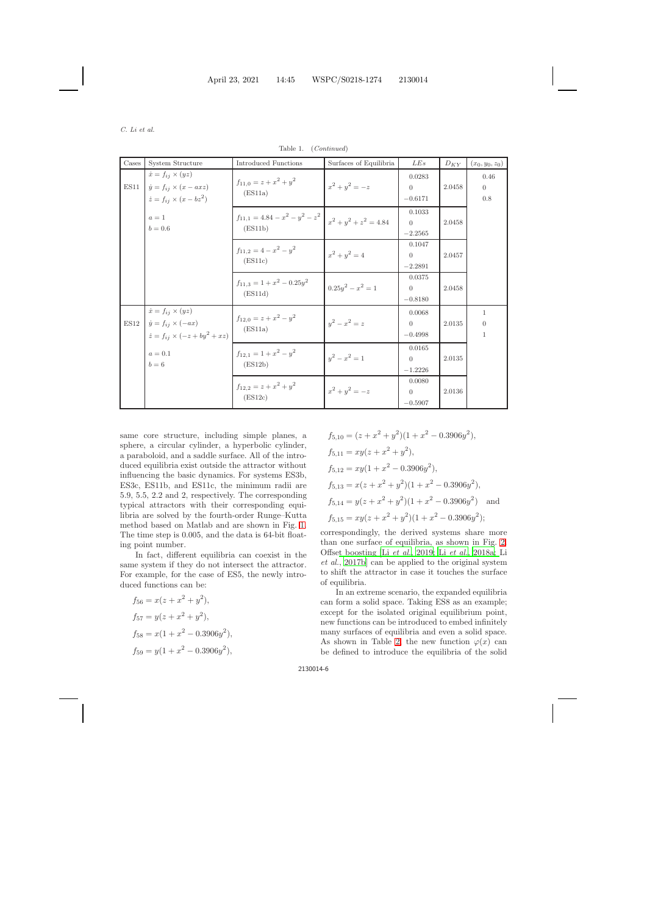| Cases | System Structure                                                                                                | <b>Introduced Functions</b>                    | Surfaces of Equilibria   | LEs                                   | ${\cal D}_{KY}$ | $(x_0, y_0, z_0)$                   |
|-------|-----------------------------------------------------------------------------------------------------------------|------------------------------------------------|--------------------------|---------------------------------------|-----------------|-------------------------------------|
| ES11  | $\dot{x} = f_{ij} \times (yz)$<br>$\dot{y} = f_{ij} \times (x - axz)$<br>$\dot{z} = f_{ij} \times (x - bz^2)$   | $f_{11,0} = z + x^2 + y^2$<br>(ES11a)          | $x^2 + y^2 = -z$         | 0.0283<br>$\Omega$<br>$-0.6171$       | 2.0458          | 0.46<br>$\overline{0}$<br>$0.8\,$   |
|       | $a=1$<br>$b = 0.6$                                                                                              | $f_{11,1} = 4.84 - x^2 - y^2 - z^2$<br>(ES11b) | $x^2 + y^2 + z^2 = 4.84$ | 0.1033<br>$\theta$<br>$-2.2565$       | 2.0458          |                                     |
|       |                                                                                                                 | $f_{11,2} = 4 - x^2 - y^2$<br>(ES11c)          | $x^2 + y^2 = 4$          | 0.1047<br>$\overline{0}$<br>$-2.2891$ | 2.0457          |                                     |
|       |                                                                                                                 | $f_{11,3} = 1 + x^2 - 0.25y^2$<br>(ES11d)      | $0.25y^2 - x^2 = 1$      | 0.0375<br>$\Omega$<br>$-0.8180$       | 2.0458          |                                     |
| ES12  | $\dot{x} = f_{ij} \times (yz)$<br>$\dot{y} = f_{ij} \times (-ax)$<br>$\dot{z} = f_{ij} \times (-z + by^2 + xz)$ | $f_{12,0} = z + x^2 - y^2$<br>(ES11a)          | $y^2 - x^2 = z$          | 0.0068<br>$\overline{0}$<br>$-0.4998$ | 2.0135          | 1<br>$\overline{0}$<br>$\mathbf{1}$ |
|       | $a=0.1$<br>$b=6$                                                                                                | $f_{12,1} = 1 + x^2 - y^2$<br>(ES12b)          | $y^2 - x^2 = 1$          | 0.0165<br>$\Omega$<br>$-1.2226$       | 2.0135          |                                     |
|       |                                                                                                                 | $f_{12,2} = z + x^2 + y^2$<br>(ES12c)          | $x^2 + y^2 = -z$         | 0.0080<br>$\overline{0}$<br>$-0.5907$ | 2.0136          |                                     |

Table 1. (*Continued*)

same core structure, including simple planes, a sphere, a circular cylinder, a hyperbolic cylinder, a paraboloid, and a saddle surface. All of the introduced equilibria exist outside the attractor without influencing the basic dynamics. For systems ES3b, ES3c, ES11b, and ES11c, the minimum radii are 5.9, 5.5, 2.2 and 2, respectively. The corresponding typical attractors with their corresponding equilibria are solved by the fourth-order Runge–Kutta method based on Matlab and are shown in Fig. [1.](#page-6-0) The time step is 0.005, and the data is 64-bit floating point number.

In fact, different equilibria can coexist in the same system if they do not intersect the attractor. For example, for the case of ES5, the newly introduced functions can be:

$$
f_{56} = x(z + x2 + y2),
$$
  
\n
$$
f_{57} = y(z + x2 + y2),
$$
  
\n
$$
f_{58} = x(1 + x2 - 0.3906y2),
$$
  
\n
$$
f_{59} = y(1 + x2 - 0.3906y2),
$$

$$
f_{5,10} = (z + x^2 + y^2)(1 + x^2 - 0.3906y^2),
$$
  
\n
$$
f_{5,11} = xy(z + x^2 + y^2),
$$
  
\n
$$
f_{5,12} = xy(1 + x^2 - 0.3906y^2),
$$
  
\n
$$
f_{5,13} = x(z + x^2 + y^2)(1 + x^2 - 0.3906y^2),
$$
  
\n
$$
f_{5,14} = y(z + x^2 + y^2)(1 + x^2 - 0.3906y^2)
$$
 and  
\n
$$
f_{5,15} = xy(z + x^2 + y^2)(1 + x^2 - 0.3906y^2);
$$

correspondingly, the derived systems share more than one surface of equilibria, as shown in Fig. [2.](#page-7-0) Offse[t boosting \[Li](#page-15-25) *[et al.](#page-16-10)*, [2019;](#page-16-10) Li *[et al.](#page-16-11)*, [2018a](#page-16-11); Li *et al.*, [2017b](#page-15-25)] can be applied to the original system to shift the attractor in case it touches the surface of equilibria.

In an extreme scenario, the expanded equilibria can form a solid space. Taking ES8 as an example; except for the isolated original equilibrium point, new functions can be introduced to embed infinitely many surfaces of equilibria and even a solid space. As shown in Table [2,](#page-7-1) the new function  $\varphi(x)$  can be defined to introduce the equilibria of the solid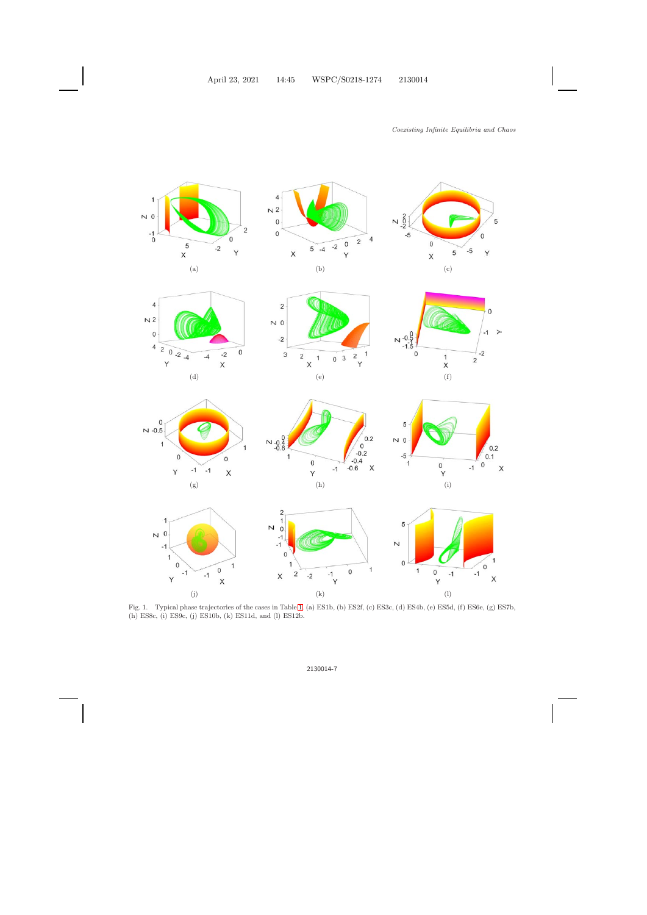







 $\mathbf{0}$ 

1

 $\overline{1}$ 

 $-1$ 

 $N - 0.5$ 













<span id="page-6-0"></span>Fig. 1. Typical phase trajectories of the cases in Table [1.](#page-2-1) (a) ES1b, (b) ES2f, (c) ES3c, (d) ES4b, (e) ES5d, (f) ES6e, (g) ES7b, (h) ES8c, (i) ES9c, (j) ES10b, (k) ES11d, and (l) ES12b.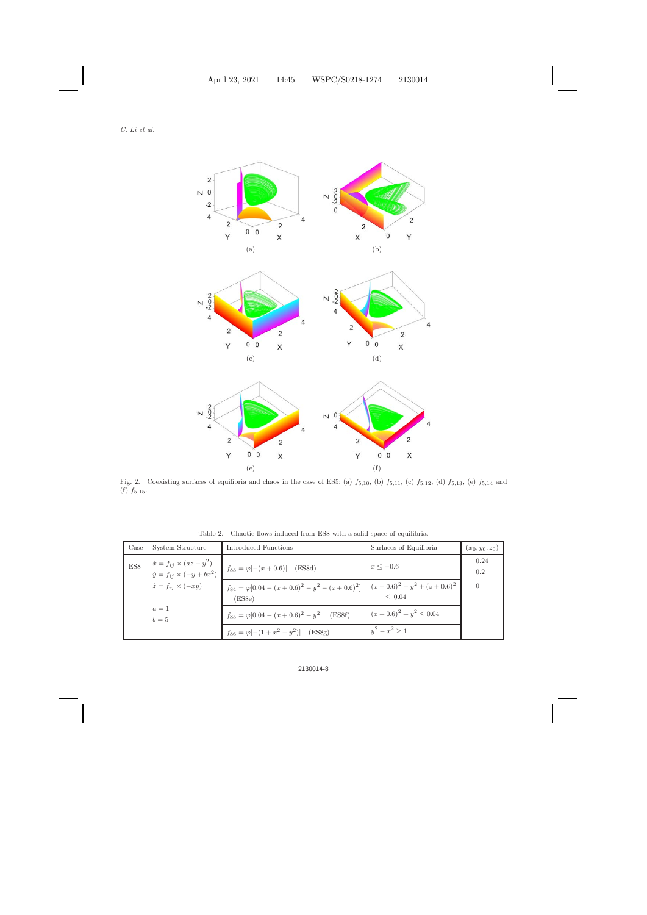*C. Li et al.*



<span id="page-7-0"></span>Fig. 2. Coexisting surfaces of equilibria and chaos in the case of ES5: (a)  $f_{5,10}$ , (b)  $f_{5,11}$ , (c)  $f_{5,12}$ , (d)  $f_{5,13}$ , (e)  $f_{5,14}$  and  $(f) f_{5,15}.$ 

<span id="page-7-1"></span>

|  |  |  |  |  | Table 2. Chaotic flows induced from ES8 with a solid space of equilibria. |
|--|--|--|--|--|---------------------------------------------------------------------------|
|  |  |  |  |  |                                                                           |

| Case | System Structure                                                              | Introduced Functions                                                  | Surfaces of Equilibria                             | $(x_0, y_0, z_0)$ |
|------|-------------------------------------------------------------------------------|-----------------------------------------------------------------------|----------------------------------------------------|-------------------|
| ES8  | $\dot{x} = f_{ij} \times (az + y^2)$<br>$\dot{y} = f_{ij} \times (-y + bx^2)$ | $f_{83} = \varphi[-(x + 0.6)]$ (ES8d)                                 | $x \le -0.6$                                       | 0.24<br>0.2       |
|      | $\dot{z} = f_{ij} \times (-xy)$                                               | $f_{84} = \varphi [0.04 - (x + 0.6)^2 - y^2 - (z + 0.6)^2]$<br>(ES8e) | $(x+0.6)^{2} + y^{2} + (z+0.6)^{2}$<br>$\leq 0.04$ | $\theta$          |
|      | $a=1$<br>$b=5$                                                                | $f_{85} = \varphi [0.04 - (x + 0.6)^2 - y^2]$ (ES8f)                  | $(x+0.6)^2 + y^2 \le 0.04$                         |                   |
|      |                                                                               | $f_{86} = \varphi[-(1+x^2-y^2)]$ (ES8g)                               | $y^2 - x^2 > 1$                                    |                   |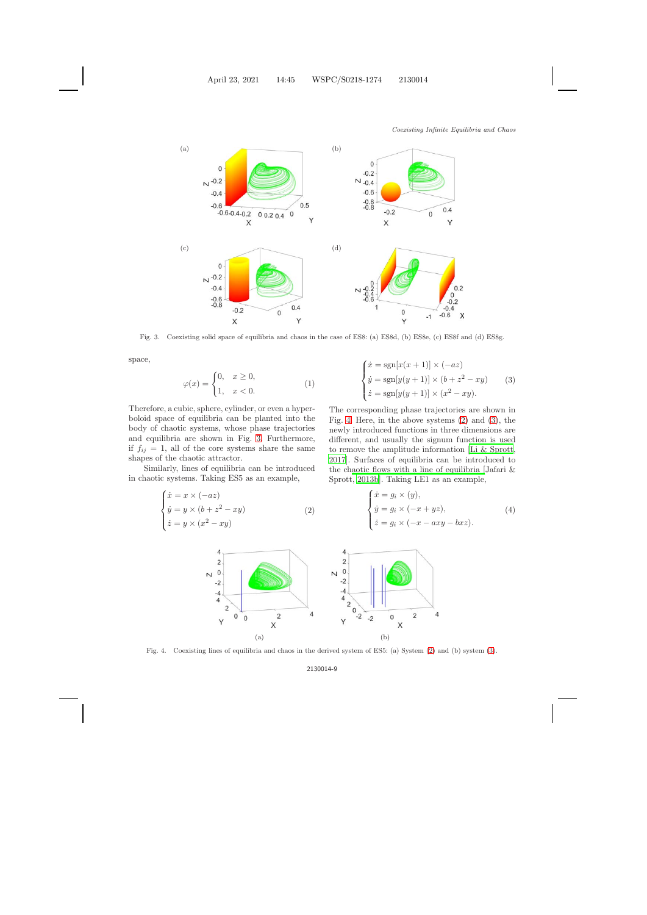

Fig. 3. Coexisting solid space of equilibria and chaos in the case of ES8: (a) ES8d, (b) ES8e, (c) ES8f and (d) ES8g.

<span id="page-8-4"></span><span id="page-8-0"></span>space,

$$
\varphi(x) = \begin{cases} 0, & x \ge 0, \\ 1, & x < 0. \end{cases} \tag{1}
$$

Therefore, a cubic, sphere, cylinder, or even a hyperboloid space of equilibria can be planted into the body of chaotic systems, whose phase trajectories and equilibria are shown in Fig. [3.](#page-8-0) Furthermore, if  $f_{ij} = 1$ , all of the core systems share the same shapes of the chaotic attractor.

<span id="page-8-1"></span>Similarly, lines of equilibria can be introduced in chaotic systems. Taking ES5 as an example,

$$
\begin{cases}\n\dot{x} = x \times (-az) \\
\dot{y} = y \times (b + z^2 - xy) \\
\dot{z} = y \times (x^2 - xy)\n\end{cases} (2)
$$

$$
\begin{cases}\n\dot{x} = \text{sgn}[x(x+1)] \times (-az) \\
\dot{y} = \text{sgn}[y(y+1)] \times (b+z^2 - xy) \\
\dot{z} = \text{sgn}[y(y+1)] \times (x^2 - xy).\n\end{cases} (3)
$$

The corresponding phase trajectories are shown in Fig. [4.](#page-8-2) Here, in the above systems [\(2\)](#page-8-1) and [\(3\)](#page-8-1), the newly introduced functions in three dimensions are different, and usually the signum function is used to remove the amplitude information [\[Li & Sprott](#page-15-26), [2017](#page-15-26)]. Surfaces of equilibria can be introduced to the ch[aotic flows with a line of equilibria \[](#page-15-27)Jafari & Sprott, [2013b\]](#page-15-27). Taking LE1 as an example,

<span id="page-8-3"></span>
$$
\begin{cases}\n\dot{x} = g_i \times (y), \\
\dot{y} = g_i \times (-x + yz), \\
\dot{z} = g_i \times (-x - axy - bxz).\n\end{cases} (4)
$$



<span id="page-8-2"></span>Fig. 4. Coexisting lines of equilibria and chaos in the derived system of ES5: (a) System [\(2\)](#page-8-1) and (b) system [\(3\)](#page-8-1).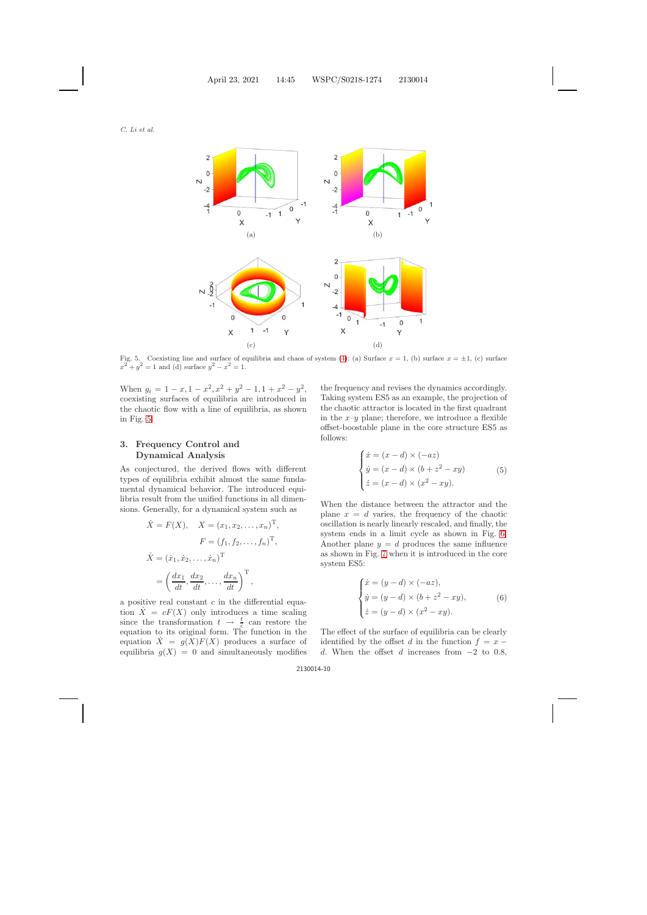

<span id="page-9-1"></span>Fig. 5. Coexisting line and surface of equilibria and chaos of system [\(4\)](#page-8-3): (a) Surface  $x = 1$ , (b) surface  $x = \pm 1$ , (c) surface  $x^{2} + y^{2} = 1$  and (d) surface  $y^{2} - x^{2} = 1$ .

When  $g_i = 1 - x, 1 - x^2, x^2 + y^2 - 1, 1 + x^2 - y^2$ , coexisting surfaces of equilibria are introduced in the chaotic flow with a line of equilibria, as shown in Fig. [5.](#page-9-1)

# <span id="page-9-0"></span>**3. Frequency Control and Dynamical Analysis**

As conjectured, the derived flows with different types of equilibria exhibit almost the same fundamental dynamical behavior. The introduced equilibria result from the unified functions in all dimensions. Generally, for a dynamical system such as

$$
\dot{X} = F(X), \quad X = (x_1, x_2, \dots, x_n)^{\mathrm{T}},
$$

$$
F = (f_1, f_2, \dots, f_n)^{\mathrm{T}},
$$

$$
\dot{X} = (\dot{x}_1, \dot{x}_2, \dots, \dot{x}_n)^{\mathrm{T}}
$$

$$
= \left(\frac{dx_1}{dt}, \frac{dx_2}{dt}, \dots, \frac{dx_n}{dt}\right)^{\mathrm{T}},
$$

a positive real constant  $c$  in the differential equation  $X = cF(X)$  only introduces a time scaling since the transformation  $t \to \frac{t}{c}$  can restore the equation to its original form. The function in the equation  $\ddot{X} = g(X)F(X)$  produces a surface of equilibria  $g(X) = 0$  and simultaneously modifies

the frequency and revises the dynamics accordingly. Taking system ES5 as an example, the projection of the chaotic attractor is located in the first quadrant in the  $x-y$  plane; therefore, we introduce a flexible offset-boostable plane in the core structure ES5 as follows:

$$
\begin{cases}\n\dot{x} = (x - d) \times (-az) \\
\dot{y} = (x - d) \times (b + z^2 - xy) \\
\dot{z} = (x - d) \times (x^2 - xy).\n\end{cases}
$$
\n(5)

<span id="page-9-4"></span><span id="page-9-2"></span>When the distance between the attractor and the plane  $x = d$  varies, the frequency of the chaotic oscillation is nearly linearly rescaled, and finally, the system ends in a limit cycle as shown in Fig. [6.](#page-10-0) Another plane  $y = d$  produces the same influence as shown in Fig. [7](#page-10-1) when it is introduced in the core system ES5:

$$
\begin{cases}\n\dot{x} = (y - d) \times (-az), \\
\dot{y} = (y - d) \times (b + z^2 - xy), \\
\dot{z} = (y - d) \times (x^2 - xy).\n\end{cases}
$$
\n(6)

<span id="page-9-3"></span>The effect of the surface of equilibria can be clearly identified by the offset d in the function  $f = x$ d. When the offset d increases from  $-2$  to 0.8,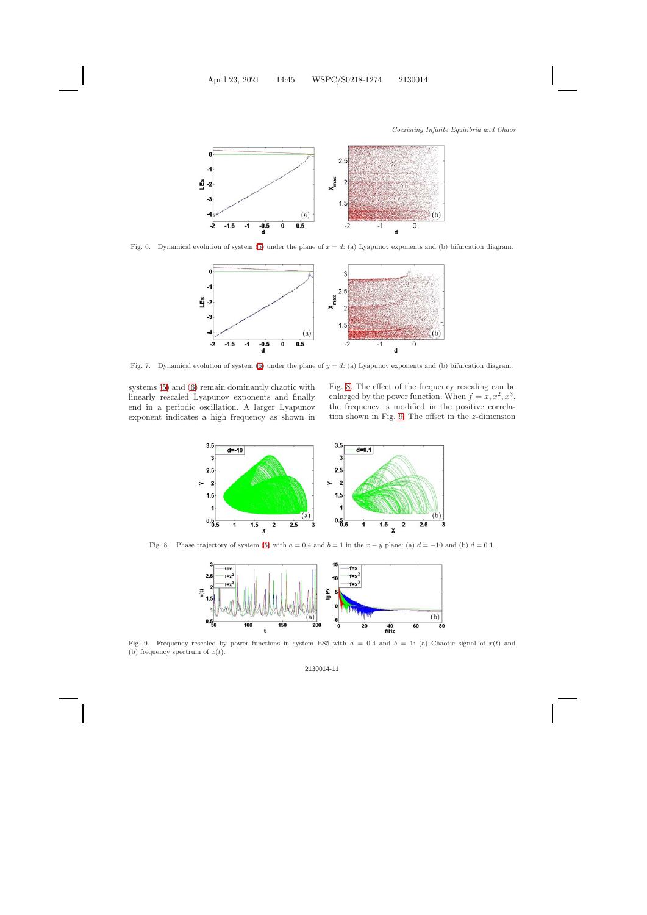

<span id="page-10-0"></span>Fig. 6. Dynamical evolution of system [\(5\)](#page-9-2) under the plane of  $x = d$ : (a) Lyapunov exponents and (b) bifurcation diagram.



<span id="page-10-1"></span>Fig. 7. Dynamical evolution of system [\(6\)](#page-9-3) under the plane of  $y = d$ : (a) Lyapunov exponents and (b) bifurcation diagram.

systems [\(5\)](#page-9-2) and [\(6\)](#page-9-3) remain dominantly chaotic with linearly rescaled Lyapunov exponents and finally end in a periodic oscillation. A larger Lyapunov exponent indicates a high frequency as shown in Fig. [8.](#page-10-2) The effect of the frequency rescaling can be enlarged by the power function. When  $f = x, x^2, x^3$ , the frequency is modified in the positive correlation shown in Fig. [9.](#page-10-3) The offset in the z-dimension



<span id="page-10-2"></span>Fig. 8. Phase trajectory of system [\(5\)](#page-9-2) with  $a = 0.4$  and  $b = 1$  in the  $x - y$  plane: (a)  $d = -10$  and (b)  $d = 0.1$ .



<span id="page-10-3"></span>Fig. 9. Frequency rescaled by power functions in system ES5 with  $a = 0.4$  and  $b = 1$ : (a) Chaotic signal of  $x(t)$  and (b) frequency spectrum of  $x(t)$ .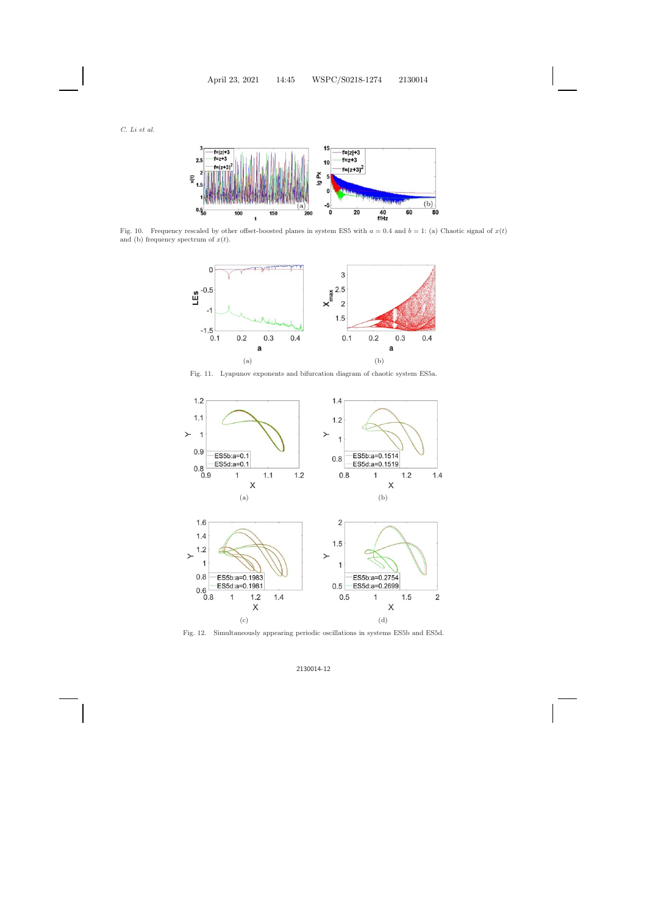

<span id="page-11-0"></span>Fig. 10. Frequency rescaled by other offset-boosted planes in system ES5 with  $a = 0.4$  and  $b = 1$ : (a) Chaotic signal of  $x(t)$ and (b) frequency spectrum of  $x(t)$ .



Fig. 11. Lyapunov exponents and bifurcation diagram of chaotic system ES5a.

<span id="page-11-1"></span>

<span id="page-11-2"></span>Fig. 12. Simultaneously appearing periodic oscillations in systems ES5b and ES5d.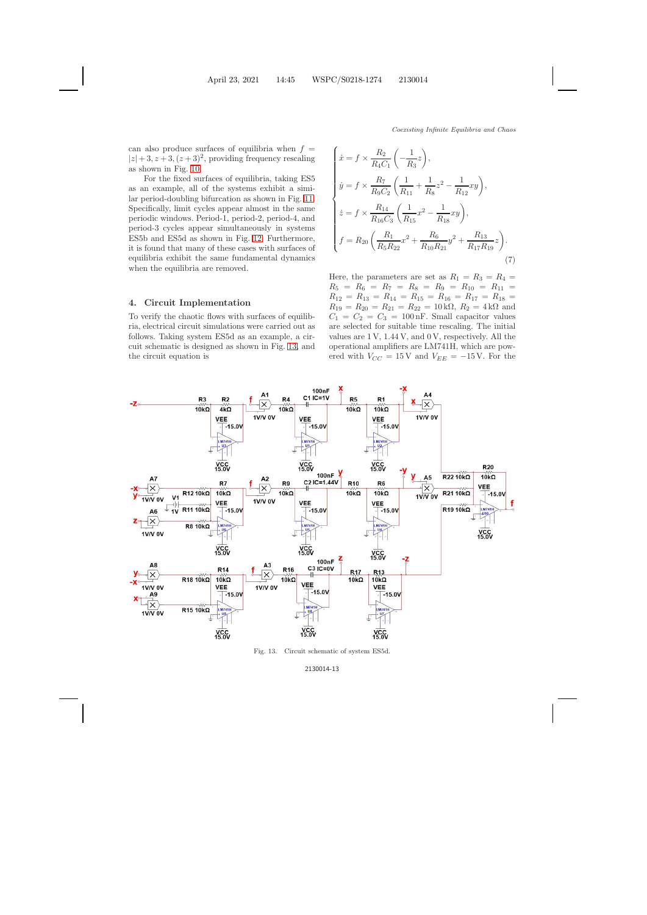*Coexisting Infinite Equilibria and Chaos*

can also produce surfaces of equilibria when  $f =$  $|z| + 3, z + 3, (z + 3)^2$ , providing frequency rescaling as shown in Fig. [10.](#page-11-0)

For the fixed surfaces of equilibria, taking ES5 as an example, all of the systems exhibit a similar period-doubling bifurcation as shown in Fig. [11.](#page-11-1) Specifically, limit cycles appear almost in the same periodic windows. Period-1, period-2, period-4, and period-3 cycles appear simultaneously in systems ES5b and ES5d as shown in Fig. [12.](#page-11-2) Furthermore, it is found that many of these cases with surfaces of equilibria exhibit the same fundamental dynamics when the equilibria are removed.

#### <span id="page-12-0"></span>**4. Circuit Implementation**

To verify the chaotic flows with surfaces of equilibria, electrical circuit simulations were carried out as follows. Taking system ES5d as an example, a circuit schematic is designed as shown in Fig. [13,](#page-12-1) and the circuit equation is

$$
\begin{cases}\n\dot{x} = f \times \frac{R_2}{R_4 C_1} \left( -\frac{1}{R_3} z \right), \\
\dot{y} = f \times \frac{R_7}{R_9 C_2} \left( \frac{1}{R_{11}} + \frac{1}{R_8} z^2 - \frac{1}{R_{12}} xy \right), \\
\dot{z} = f \times \frac{R_{14}}{R_{16} C_3} \left( \frac{1}{R_{15}} x^2 - \frac{1}{R_{18}} xy \right), \\
f = R_{20} \left( \frac{R_1}{R_5 R_{22}} x^2 + \frac{R_6}{R_{10} R_{21}} y^2 + \frac{R_{13}}{R_{17} R_{19}} z \right).\n\end{cases} (7)
$$

Here, the parameters are set as  $R_1 = R_3 = R_4 =$  $R_5 = R_6 = R_7 = R_8 = R_9 = R_{10} = R_{11} =$  $R_{12} = R_{13} = R_{14} = R_{15} = R_{16} = R_{17} = R_{18} =$  $R_{19} = R_{20} = R_{21} = R_{22} = 10 \text{ k}\Omega$ ,  $R_2 = 4 \text{ k}\Omega$  and  $C_1 = C_2 = C_3 = 100$  nF. Small capacitor values are selected for suitable time rescaling. The initial values are 1 V, 1.44 V, and 0 V, respectively. All the operational amplifiers are LM741H, which are powered with  $V_{CC} = 15 \text{ V}$  and  $V_{EE} = -15 \text{ V}$ . For the



<span id="page-12-1"></span>Fig. 13. Circuit schematic of system ES5d.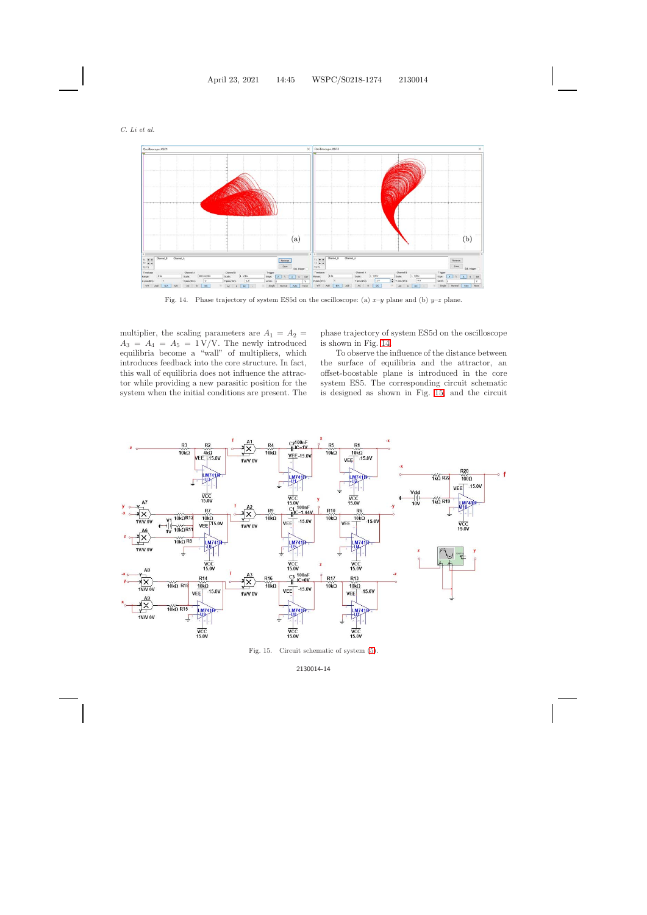

<span id="page-13-0"></span>Fig. 14. Phase trajectory of system ES5d on the oscilloscope: (a)  $x-y$  plane and (b)  $y-z$  plane.

multiplier, the scaling parameters are  $A_1 = A_2 =$  $A_3 = A_4 = A_5 = 1 \text{ V/V}$ . The newly introduced equilibria become a "wall" of multipliers, which introduces feedback into the core structure. In fact, this wall of equilibria does not influence the attractor while providing a new parasitic position for the system when the initial conditions are present. The phase trajectory of system ES5d on the oscilloscope is shown in Fig. [14.](#page-13-0)

To observe the influence of the distance between the surface of equilibria and the attractor, an offset-boostable plane is introduced in the core system ES5. The corresponding circuit schematic is designed as shown in Fig. [15,](#page-13-1) and the circuit



<span id="page-13-1"></span>Fig. 15. Circuit schematic of system [\(5\)](#page-9-4).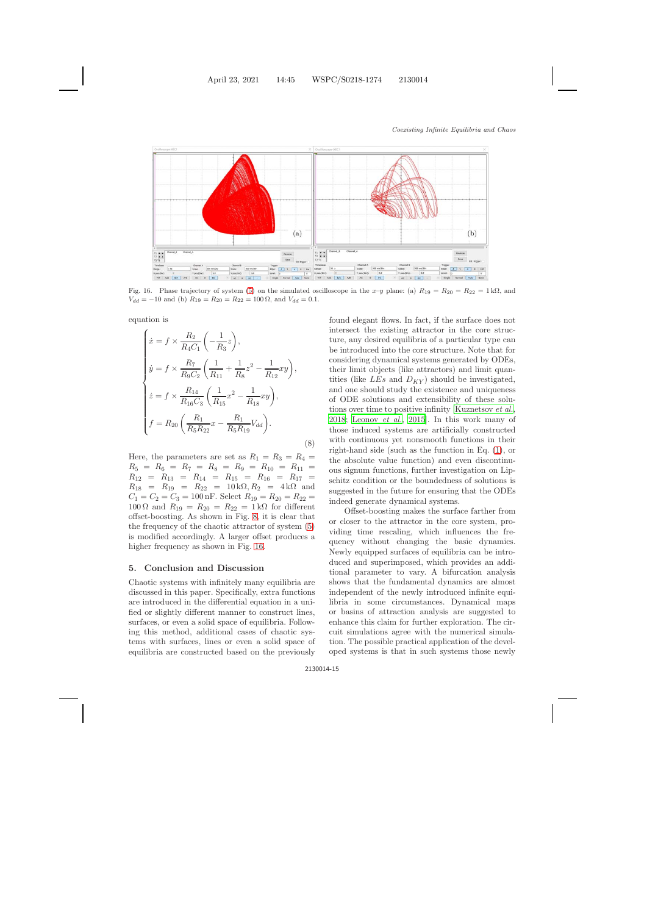

<span id="page-14-0"></span>Fig. 16. Phase trajectory of system [\(5\)](#page-9-2) on the simulated oscilloscope in the x–y plane: (a)  $R_{19} = R_{20} = R_{22} = 1 \text{ k}\Omega$ , and  $V_{dd} = -10$  and (b)  $R_{19} = R_{20} = R_{22} = 100 \Omega$ , and  $V_{dd} = 0.1$ .

equation is

$$
\begin{cases}\n\dot{x} = f \times \frac{R_2}{R_4 C_1} \left( -\frac{1}{R_3} z \right), \\
\dot{y} = f \times \frac{R_7}{R_9 C_2} \left( \frac{1}{R_{11}} + \frac{1}{R_8} z^2 - \frac{1}{R_{12}} xy \right), \\
\dot{z} = f \times \frac{R_{14}}{R_{16} C_3} \left( \frac{1}{R_{15}} x^2 - \frac{1}{R_{18}} xy \right), \\
f = R_{20} \left( \frac{R_1}{R_5 R_{22}} x - \frac{R_1}{R_5 R_{19}} V_{dd} \right).\n\end{cases} \tag{8}
$$

Here, the parameters are set as  $R_1 = R_3 = R_4 =$  $R_5 = R_6 = R_7 = R_8 = R_9 = R_{10} = R_{11} =$  $R_{12} = R_{13} = R_{14} = R_{15} = R_{16} = R_{17} =$  $R_{18} = R_{19} = R_{22} = 10 \text{ k}\Omega, R_{2} = 4 \text{ k}\Omega \text{ and}$  $C_1 = C_2 = C_3 = 100$  nF. Select  $R_{19} = R_{20} = R_{22}$  $100 \Omega$  and  $R_{19} = R_{20} = R_{22} = 1 \text{ k}\Omega$  for different offset-boosting. As shown in Fig. [8,](#page-10-2) it is clear that the frequency of the chaotic attractor of system [\(5\)](#page-9-2) is modified accordingly. A larger offset produces a higher frequency as shown in Fig. [16.](#page-14-0)

#### **5. Conclusion and Discussion**

Chaotic systems with infinitely many equilibria are discussed in this paper. Specifically, extra functions are introduced in the differential equation in a unified or slightly different manner to construct lines, surfaces, or even a solid space of equilibria. Following this method, additional cases of chaotic systems with surfaces, lines or even a solid space of equilibria are constructed based on the previously found elegant flows. In fact, if the surface does not intersect the existing attractor in the core structure, any desired equilibria of a particular type can be introduced into the core structure. Note that for considering dynamical systems generated by ODEs, their limit objects (like attractors) and limit quantities (like  $LES$  and  $D_{KY}$ ) should be investigated, and one should study the existence and uniqueness of ODE solutions and extensibility of these solutions over time to positive infinity [\[Kuznetsov](#page-15-28) *et al.*, [2018](#page-15-28); [Leonov](#page-15-29) *et al.*, [2015\]](#page-15-29). In this work many of those induced systems are artificially constructed with continuous yet nonsmooth functions in their right-hand side (such as the function in Eq. [\(1\)](#page-8-4), or the absolute value function) and even discontinuous signum functions, further investigation on Lipschitz condition or the boundedness of solutions is suggested in the future for ensuring that the ODEs indeed generate dynamical systems.

Offset-boosting makes the surface farther from or closer to the attractor in the core system, providing time rescaling, which influences the frequency without changing the basic dynamics. Newly equipped surfaces of equilibria can be introduced and superimposed, which provides an additional parameter to vary. A bifurcation analysis shows that the fundamental dynamics are almost independent of the newly introduced infinite equilibria in some circumstances. Dynamical maps or basins of attraction analysis are suggested to enhance this claim for further exploration. The circuit simulations agree with the numerical simulation. The possible practical application of the developed systems is that in such systems those newly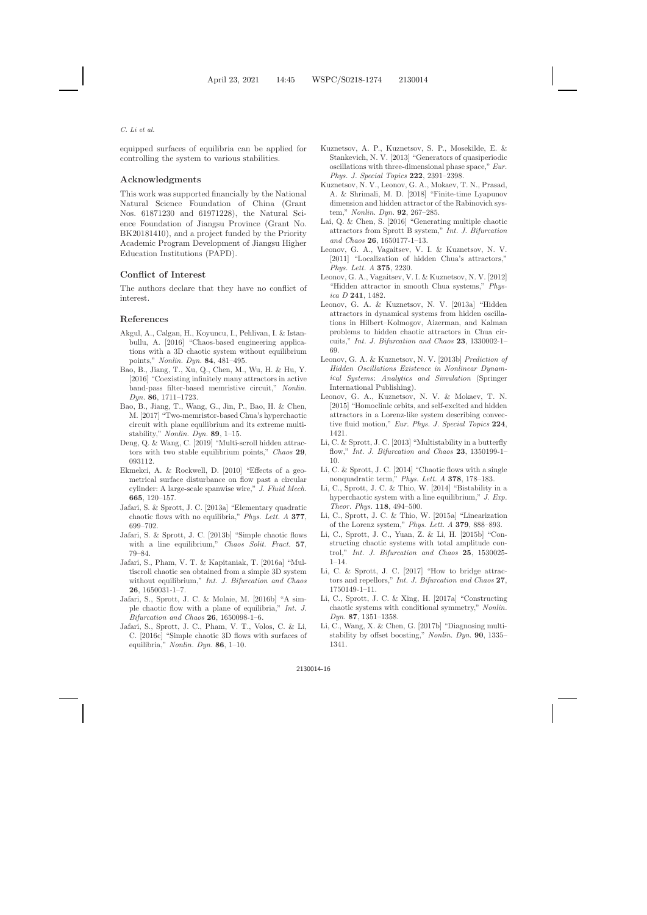#### *C. Li et al.*

equipped surfaces of equilibria can be applied for controlling the system to various stabilities.

# **Acknowledgments**

This work was supported financially by the National Natural Science Foundation of China (Grant Nos. 61871230 and 61971228), the Natural Science Foundation of Jiangsu Province (Grant No. BK20181410), and a project funded by the Priority Academic Program Development of Jiangsu Higher Education Institutions (PAPD).

# **Conflict of Interest**

The authors declare that they have no conflict of interest.

# <span id="page-15-0"></span>**References**

- <span id="page-15-6"></span>Akgul, A., Calgan, H., Koyuncu, I., Pehlivan, I. & Istanbullu, A. [2016] "Chaos-based engineering applications with a 3D chaotic system without equilibrium points," *Nonlin. Dyn.* **84**, 481–495.
- <span id="page-15-22"></span>Bao, B., Jiang, T., Xu, Q., Chen, M., Wu, H. & Hu, Y. [2016] "Coexisting infinitely many attractors in active band-pass filter-based memristive circuit," *Nonlin. Dyn.* **86**, 1711–1723.
- <span id="page-15-15"></span>Bao, B., Jiang, T., Wang, G., Jin, P., Bao, H. & Chen, M. [2017] "Two-memristor-based Chua's hyperchaotic circuit with plane equilibrium and its extreme multistability," *Nonlin. Dyn.* **89**, 1–15.
- <span id="page-15-8"></span>Deng, Q. & Wang, C. [2019] "Multi-scroll hidden attractors with two stable equilibrium points," *Chaos* **29**, 093112.
- <span id="page-15-14"></span>Ekmekci, A. & Rockwell, D. [2010] "Effects of a geometrical surface disturbance on flow past a circular cylinder: A large-scale spanwise wire," *J. Fluid Mech.* **665**, 120–157.
- <span id="page-15-5"></span>Jafari, S. & Sprott, J. C. [2013a] "Elementary quadratic chaotic flows with no equilibria," *Phys. Lett. A* **377**, 699–702.
- <span id="page-15-27"></span><span id="page-15-11"></span>Jafari, S. & Sprott, J. C. [2013b] "Simple chaotic flows with a line equilibrium," *Chaos Solit. Fract.* **57**, 79–84.
- <span id="page-15-7"></span>Jafari, S., Pham, V. T. & Kapitaniak, T. [2016a] "Multiscroll chaotic sea obtained from a simple 3D system without equilibrium," *Int. J. Bifurcation and Chaos* **26**, 1650031-1–7.
- <span id="page-15-16"></span>Jafari, S., Sprott, J. C. & Molaie, M. [2016b] "A simple chaotic flow with a plane of equilibria," *Int. J. Bifurcation and Chaos* **26**, 1650098-1–6.
- <span id="page-15-24"></span>Jafari, S., Sprott, J. C., Pham, V. T., Volos, C. & Li, C. [2016c] "Simple chaotic 3D flows with surfaces of equilibria," *Nonlin. Dyn.* **86**, 1–10.
- <span id="page-15-21"></span>Kuznetsov, A. P., Kuznetsov, S. P., Mosekilde, E. & Stankevich, N. V. [2013] "Generators of quasiperiodic oscillations with three-dimensional phase space," *Eur. Phys. J. Special Topics* **222**, 2391–2398.
- <span id="page-15-28"></span>Kuznetsov, N. V., Leonov, G. A., Mokaev, T. N., Prasad, A. & Shrimali, M. D. [2018] "Finite-time Lyapunov dimension and hidden attractor of the Rabinovich system," *Nonlin. Dyn.* **92**, 267–285.
- <span id="page-15-23"></span>Lai, Q. & Chen, S. [2016] "Generating multiple chaotic attractors from Sprott B system," *Int. J. Bifurcation and Chaos* **26**, 1650177-1–13.
- <span id="page-15-2"></span>Leonov, G. A., Vagaitsev, V. I. & Kuznetsov, N. V. [2011] "Localization of hidden Chua's attractors," *Phys. Lett. A* **375**, 2230.
- <span id="page-15-3"></span>Leonov, G. A., Vagaitsev, V. I. & Kuznetsov, N. V. [2012] "Hidden attractor in smooth Chua systems," *Physica D* **241**, 1482.
- <span id="page-15-1"></span>Leonov, G. A. & Kuznetsov, N. V. [2013a] "Hidden attractors in dynamical systems from hidden oscillations in Hilbert–Kolmogov, Aizerman, and Kalman problems to hidden chaotic attractors in Chua circuits," *Int. J. Bifurcation and Chaos* **23**, 1330002-1– 69.
- <span id="page-15-20"></span>Leonov, G. A. & Kuznetsov, N. V. [2013b] *Prediction of Hidden Oscillations Existence in Nonlinear Dynamical Systems*: *Analytics and Simulation* (Springer International Publishing).
- <span id="page-15-29"></span><span id="page-15-4"></span>Leonov, G. A., Kuznetsov, N. V. & Mokaev, T. N. [2015] "Homoclinic orbits, and self-excited and hidden attractors in a Lorenz-like system describing convective fluid motion," *Eur. Phys. J. Special Topics* **224**, 1421.
- <span id="page-15-9"></span>Li, C. & Sprott, J. C. [2013] "Multistability in a butterfly flow," *Int. J. Bifurcation and Chaos* **23**, 1350199-1– 10.
- <span id="page-15-12"></span>Li, C. & Sprott, J. C. [2014] "Chaotic flows with a single nonquadratic term," *Phys. Lett. A* **378**, 178–183.
- <span id="page-15-10"></span>Li, C., Sprott, J. C. & Thio, W. [2014] "Bistability in a hyperchaotic system with a line equilibrium," *J. Exp. Theor. Phys.* **118**, 494–500.
- <span id="page-15-19"></span>Li, C., Sprott, J. C. & Thio, W. [2015a] "Linearization of the Lorenz system," *Phys. Lett. A* **379**, 888–893.
- <span id="page-15-13"></span>Li, C., Sprott, J. C., Yuan, Z. & Li, H. [2015b] "Constructing chaotic systems with total amplitude control," *Int. J. Bifurcation and Chaos* **25**, 1530025- 1–14.
- <span id="page-15-26"></span><span id="page-15-17"></span>Li, C. & Sprott, J. C. [2017] "How to bridge attractors and repellors," *Int. J. Bifurcation and Chaos* **27**, 1750149-1–11.
- <span id="page-15-18"></span>Li, C., Sprott, J. C. & Xing, H. [2017a] "Constructing chaotic systems with conditional symmetry," *Nonlin. Dyn.* **87**, 1351–1358.
- <span id="page-15-25"></span>Li, C., Wang, X. & Chen, G. [2017b] "Diagnosing multistability by offset boosting," *Nonlin. Dyn.* **90**, 1335– 1341.